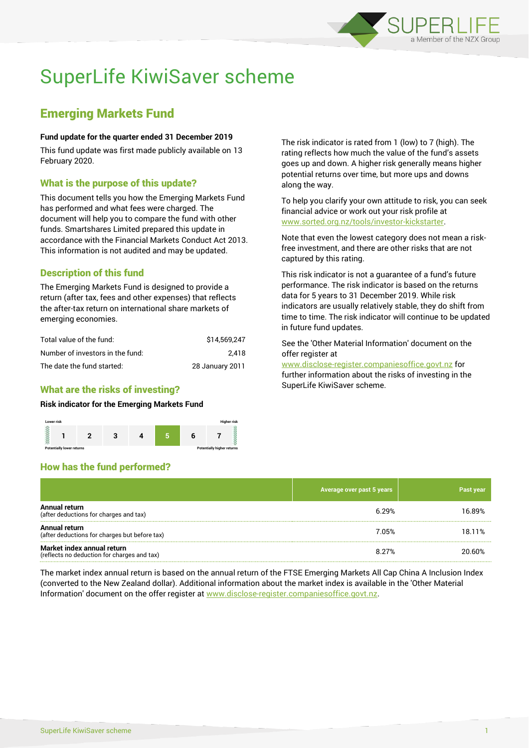

# SuperLife KiwiSaver scheme

# Emerging Markets Fund

## **Fund update for the quarter ended 31 December 2019**

This fund update was first made publicly available on 13 February 2020.

## What is the purpose of this update?

This document tells you how the Emerging Markets Fund has performed and what fees were charged. The document will help you to compare the fund with other funds. Smartshares Limited prepared this update in accordance with the Financial Markets Conduct Act 2013. This information is not audited and may be updated.

# Description of this fund

The Emerging Markets Fund is designed to provide a return (after tax, fees and other expenses) that reflects the after-tax return on international share markets of emerging economies.

| Total value of the fund:         | \$14.569.247    |
|----------------------------------|-----------------|
| Number of investors in the fund: | 2.418           |
| The date the fund started:       | 28 January 2011 |

# What are the risks of investing?

### **Risk indicator for the Emerging Markets Fund**



# How has the fund performed?

The risk indicator is rated from 1 (low) to 7 (high). The rating reflects how much the value of the fund's assets goes up and down. A higher risk generally means higher potential returns over time, but more ups and downs along the way.

To help you clarify your own attitude to risk, you can seek financial advice or work out your risk profile at [www.sorted.org.nz/tools/investor-kickstarter.](http://www.sorted.org.nz/tools/investor-kickstarter)

Note that even the lowest category does not mean a riskfree investment, and there are other risks that are not captured by this rating.

This risk indicator is not a guarantee of a fund's future performance. The risk indicator is based on the returns data for 5 years to 31 December 2019. While risk indicators are usually relatively stable, they do shift from time to time. The risk indicator will continue to be updated in future fund updates.

See the 'Other Material Information' document on the offer register at

www.disclose-register.companiesoffice.govt.nz for further information about the risks of investing in the SuperLife KiwiSaver scheme.

|                                                                           | Average over past 5 years | <b>Past year</b> |
|---------------------------------------------------------------------------|---------------------------|------------------|
| Annual return<br>(after deductions for charges and tax)                   | 6.29%                     | 16.89%           |
| Annual return<br>(after deductions for charges but before tax)            | 7.05%                     | 18.11%           |
| Market index annual return<br>(reflects no deduction for charges and tax) | 8.27%                     | 20.60%           |

The market index annual return is based on the annual return of the FTSE Emerging Markets All Cap China A Inclusion Index (converted to the New Zealand dollar). Additional information about the market index is available in the 'Other Material Information' document on the offer register at www.disclose-register.companiesoffice.govt.nz.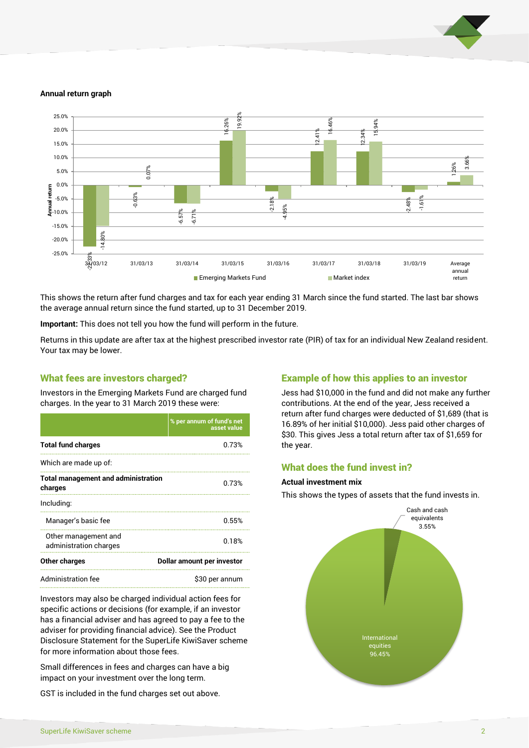

#### **Annual return graph**



This shows the return after fund charges and tax for each year ending 31 March since the fund started. The last bar shows the average annual return since the fund started, up to 31 December 2019.

**Important:** This does not tell you how the fund will perform in the future.

Returns in this update are after tax at the highest prescribed investor rate (PIR) of tax for an individual New Zealand resident. Your tax may be lower.

## What fees are investors charged?

Investors in the Emerging Markets Fund are charged fund charges. In the year to 31 March 2019 these were:

|                                                       | % per annum of fund's net<br>asset value |  |
|-------------------------------------------------------|------------------------------------------|--|
| <b>Total fund charges</b>                             | 0.73%                                    |  |
| Which are made up of:                                 |                                          |  |
| <b>Total management and administration</b><br>charges | 0.73%                                    |  |
| Including:                                            |                                          |  |
| Manager's basic fee                                   | 0.55%                                    |  |
| Other management and<br>administration charges        | 0.18%                                    |  |
| <b>Other charges</b>                                  | Dollar amount per investor               |  |
| Administration fee                                    | \$30 per annum                           |  |

Investors may also be charged individual action fees for specific actions or decisions (for example, if an investor has a financial adviser and has agreed to pay a fee to the adviser for providing financial advice). See the Product Disclosure Statement for the SuperLife KiwiSaver scheme for more information about those fees.

Small differences in fees and charges can have a big impact on your investment over the long term.

GST is included in the fund charges set out above.

# Example of how this applies to an investor

Jess had \$10,000 in the fund and did not make any further contributions. At the end of the year, Jess received a return after fund charges were deducted of \$1,689 (that is 16.89% of her initial \$10,000). Jess paid other charges of \$30. This gives Jess a total return after tax of \$1,659 for the year.

# What does the fund invest in?

## **Actual investment mix**

This shows the types of assets that the fund invests in.

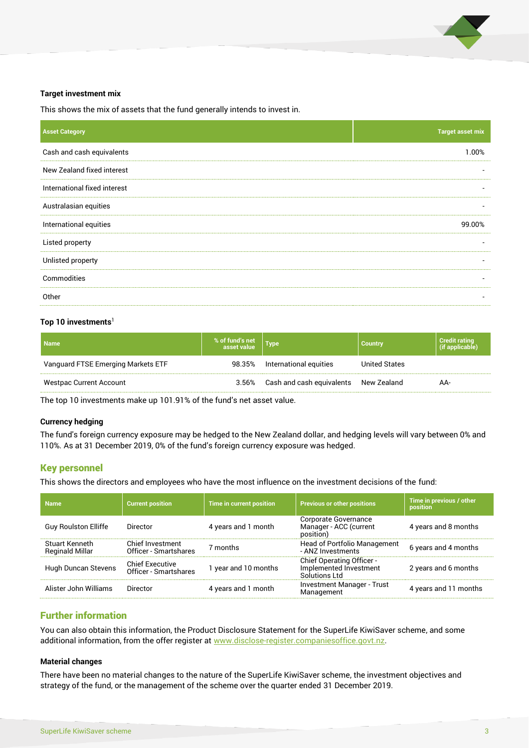

#### **Target investment mix**

This shows the mix of assets that the fund generally intends to invest in.

| <b>Asset Category</b>        | <b>Target asset mix</b>  |
|------------------------------|--------------------------|
| Cash and cash equivalents    | 1.00%                    |
| New Zealand fixed interest   |                          |
| International fixed interest |                          |
| Australasian equities        |                          |
| International equities       | 99.00%                   |
| Listed property              | $\overline{\phantom{a}}$ |
| Unlisted property            |                          |
| Commodities                  | -                        |
| Other                        | $\overline{\phantom{a}}$ |
|                              |                          |

## Top 10 investments<sup>1</sup>

| <b>Name</b>                        | % of fund's net | Type                      | <b>Country</b> | <b>Credit rating</b><br>(if applicable) |
|------------------------------------|-----------------|---------------------------|----------------|-----------------------------------------|
| Vanguard FTSE Emerging Markets ETF | 98.35%          | International equities    | United States  |                                         |
| <b>Westpac Current Account</b>     | 3.56%           | Cash and cash equivalents | New Zealand    | AA-                                     |

The top 10 investments make up 101.91% of the fund's net asset value.

#### **Currency hedging**

The fund's foreign currency exposure may be hedged to the New Zealand dollar, and hedging levels will vary between 0% and 110%. As at 31 December 2019, 0% of the fund's foreign currency exposure was hedged.

## Key personnel

This shows the directors and employees who have the most influence on the investment decisions of the fund:

| <b>Name</b>                              | <b>Current position</b>                         | Time in current position | <b>Previous or other positions</b>                                   | Time in previous / other<br>position |
|------------------------------------------|-------------------------------------------------|--------------------------|----------------------------------------------------------------------|--------------------------------------|
| <b>Guy Roulston Elliffe</b>              | Director                                        | 4 years and 1 month      | Corporate Governance<br>Manager - ACC (current<br>position)          | 4 years and 8 months                 |
| Stuart Kenneth<br><b>Reginald Millar</b> | Chief Investment<br>Officer - Smartshares       | 7 months                 | <b>Head of Portfolio Management</b><br>- ANZ Investments             | 6 years and 4 months                 |
| Hugh Duncan Stevens                      | <b>Chief Executive</b><br>Officer - Smartshares | 1 year and 10 months     | Chief Operating Officer -<br>Implemented Investment<br>Solutions Ltd | 2 years and 6 months                 |
| Alister John Williams                    | Director                                        | 4 years and 1 month      | Investment Manager - Trust<br>Management                             | 4 years and 11 months                |

## Further information

You can also obtain this information, the Product Disclosure Statement for the SuperLife KiwiSaver scheme, and some additional information, from the offer register a[t www.disclose-register.companiesoffice.govt.nz.](http://www.disclose-register.companiesoffice.govt.nz/)

#### **Material changes**

There have been no material changes to the nature of the SuperLife KiwiSaver scheme, the investment objectives and strategy of the fund, or the management of the scheme over the quarter ended 31 December 2019.